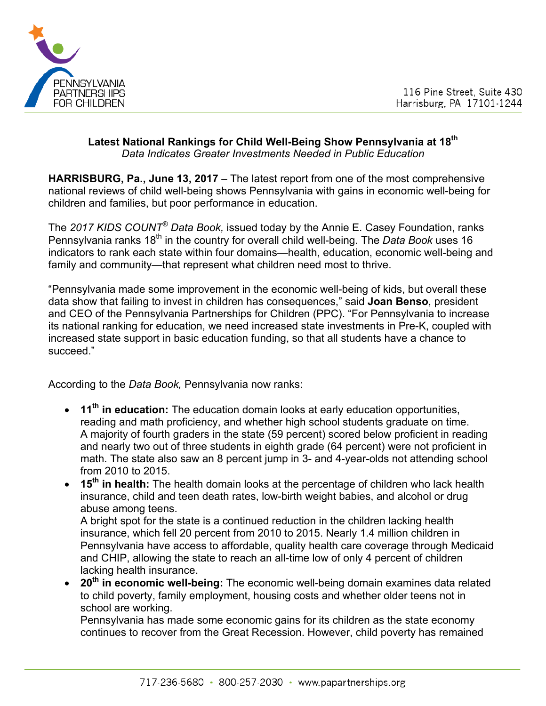

### **Latest National Rankings for Child Well-Being Show Pennsylvania at 18th** *Data Indicates Greater Investments Needed in Public Education*

**HARRISBURG, Pa., June 13, 2017** – The latest report from one of the most comprehensive national reviews of child well-being shows Pennsylvania with gains in economic well-being for children and families, but poor performance in education.

The *2017 KIDS COUNT® Data Book,* issued today by the Annie E. Casey Foundation, ranks Pennsylvania ranks 18<sup>th</sup> in the country for overall child well-being. The *Data Book* uses 16 indicators to rank each state within four domains—health, education, economic well-being and family and community—that represent what children need most to thrive.

"Pennsylvania made some improvement in the economic well-being of kids, but overall these data show that failing to invest in children has consequences," said **Joan Benso**, president and CEO of the Pennsylvania Partnerships for Children (PPC). "For Pennsylvania to increase its national ranking for education, we need increased state investments in Pre-K, coupled with increased state support in basic education funding, so that all students have a chance to succeed."

According to the *Data Book,* Pennsylvania now ranks:

- **11th in education:** The education domain looks at early education opportunities, reading and math proficiency, and whether high school students graduate on time. A majority of fourth graders in the state (59 percent) scored below proficient in reading and nearly two out of three students in eighth grade (64 percent) were not proficient in math. The state also saw an 8 percent jump in 3- and 4-year-olds not attending school from 2010 to 2015.
- **15th in health:** The health domain looks at the percentage of children who lack health insurance, child and teen death rates, low-birth weight babies, and alcohol or drug abuse among teens.

A bright spot for the state is a continued reduction in the children lacking health insurance, which fell 20 percent from 2010 to 2015. Nearly 1.4 million children in Pennsylvania have access to affordable, quality health care coverage through Medicaid and CHIP, allowing the state to reach an all-time low of only 4 percent of children lacking health insurance.

• **20th in economic well-being:** The economic well-being domain examines data related to child poverty, family employment, housing costs and whether older teens not in school are working.

Pennsylvania has made some economic gains for its children as the state economy continues to recover from the Great Recession. However, child poverty has remained